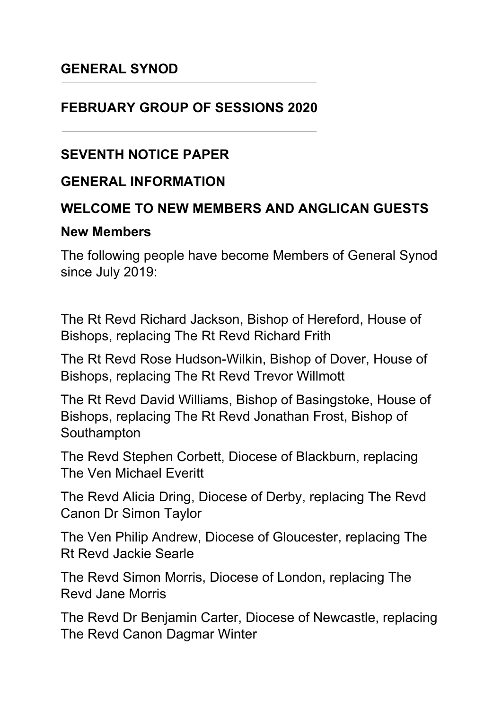#### **GENERAL SYNOD**

#### **FEBRUARY GROUP OF SESSIONS 2020**

#### **SEVENTH NOTICE PAPER**

#### **GENERAL INFORMATION**

#### **WELCOME TO NEW MEMBERS AND ANGLICAN GUESTS**

#### **New Members**

The following people have become Members of General Synod since July 2019:

The Rt Revd Richard Jackson, Bishop of Hereford, House of Bishops, replacing The Rt Revd Richard Frith

The Rt Revd Rose Hudson-Wilkin, Bishop of Dover, House of Bishops, replacing The Rt Revd Trevor Willmott

The Rt Revd David Williams, Bishop of Basingstoke, House of Bishops, replacing The Rt Revd Jonathan Frost, Bishop of Southampton

The Revd Stephen Corbett, Diocese of Blackburn, replacing The Ven Michael Everitt

The Revd Alicia Dring, Diocese of Derby, replacing The Revd Canon Dr Simon Taylor

The Ven Philip Andrew, Diocese of Gloucester, replacing The Rt Revd Jackie Searle

The Revd Simon Morris, Diocese of London, replacing The Revd Jane Morris

The Revd Dr Benjamin Carter, Diocese of Newcastle, replacing The Revd Canon Dagmar Winter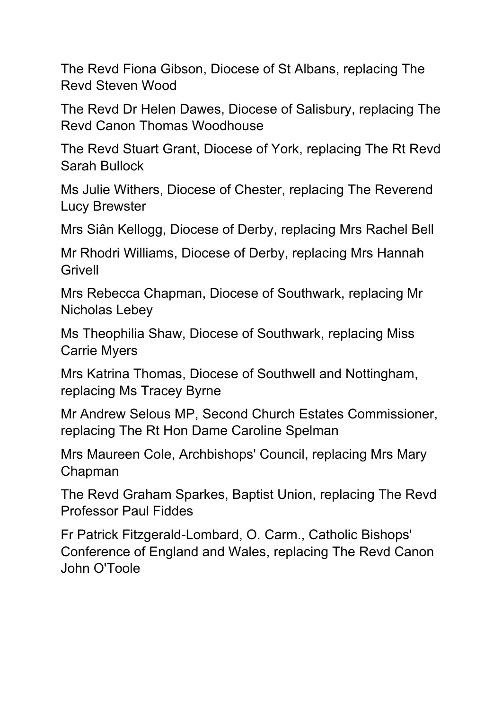The Revd Fiona Gibson, Diocese of St Albans, replacing The Revd Steven Wood

The Revd Dr Helen Dawes, Diocese of Salisbury, replacing The Revd Canon Thomas Woodhouse

The Revd Stuart Grant, Diocese of York, replacing The Rt Revd Sarah Bullock

Ms Julie Withers, Diocese of Chester, replacing The Reverend Lucy Brewster

Mrs Siân Kellogg, Diocese of Derby, replacing Mrs Rachel Bell

Mr Rhodri Williams, Diocese of Derby, replacing Mrs Hannah Grivell

Mrs Rebecca Chapman, Diocese of Southwark, replacing Mr Nicholas Lebey

Ms Theophilia Shaw, Diocese of Southwark, replacing Miss Carrie Myers

Mrs Katrina Thomas, Diocese of Southwell and Nottingham, replacing Ms Tracey Byrne

Mr Andrew Selous MP, Second Church Estates Commissioner, replacing The Rt Hon Dame Caroline Spelman

Mrs Maureen Cole, Archbishops' Council, replacing Mrs Mary Chapman

The Revd Graham Sparkes, Baptist Union, replacing The Revd Professor Paul Fiddes

Fr Patrick Fitzgerald-Lombard, O. Carm., Catholic Bishops' Conference of England and Wales, replacing The Revd Canon John O'Toole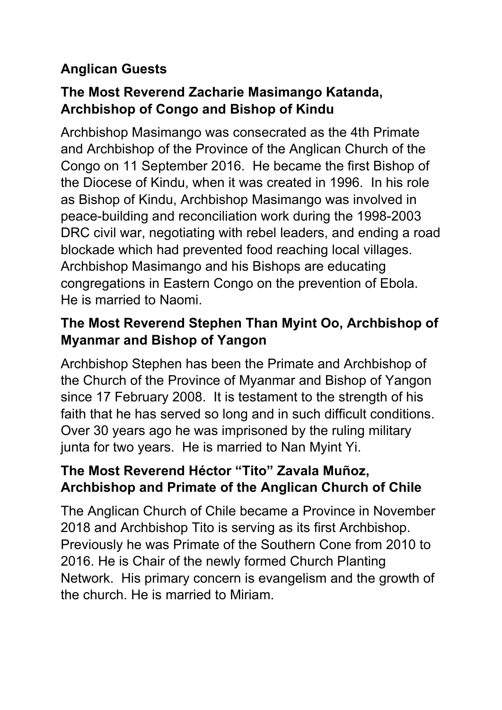## **Anglican Guests**

## **The Most Reverend Zacharie Masimango Katanda, Archbishop of Congo and Bishop of Kindu**

Archbishop Masimango was consecrated as the 4th Primate and Archbishop of the Province of the Anglican Church of the Congo on 11 September 2016. He became the first Bishop of the Diocese of Kindu, when it was created in 1996. In his role as Bishop of Kindu, Archbishop Masimango was involved in peace-building and reconciliation work during the 1998-2003 DRC civil war, negotiating with rebel leaders, and ending a road blockade which had prevented food reaching local villages. Archbishop Masimango and his Bishops are educating congregations in Eastern Congo on the prevention of Ebola. He is married to Naomi.

## **The Most Reverend Stephen Than Myint Oo, Archbishop of Myanmar and Bishop of Yangon**

Archbishop Stephen has been the Primate and Archbishop of the Church of the Province of Myanmar and Bishop of Yangon since 17 February 2008. It is testament to the strength of his faith that he has served so long and in such difficult conditions. Over 30 years ago he was imprisoned by the ruling military junta for two years. He is married to Nan Myint Yi.

## **The Most Reverend Héctor "Tito" Zavala Muñoz, Archbishop and Primate of the Anglican Church of Chile**

The Anglican Church of Chile became a Province in November 2018 and Archbishop Tito is serving as its first Archbishop. Previously he was Primate of the Southern Cone from 2010 to 2016. He is Chair of the newly formed Church Planting Network. His primary concern is evangelism and the growth of the church. He is married to Miriam.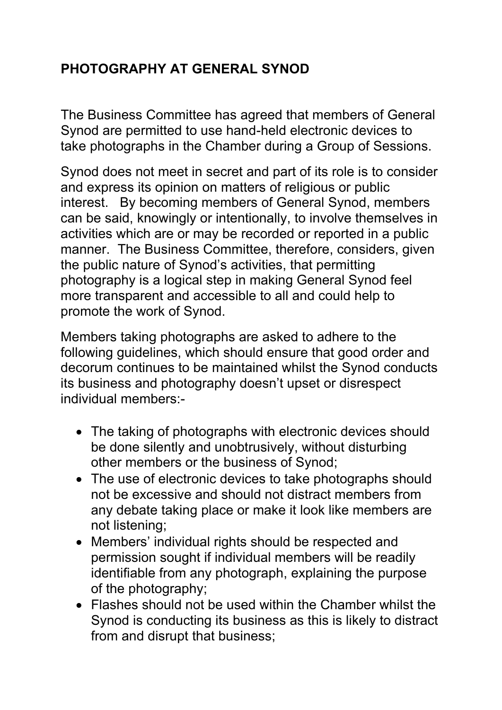# **PHOTOGRAPHY AT GENERAL SYNOD**

The Business Committee has agreed that members of General Synod are permitted to use hand-held electronic devices to take photographs in the Chamber during a Group of Sessions.

Synod does not meet in secret and part of its role is to consider and express its opinion on matters of religious or public interest. By becoming members of General Synod, members can be said, knowingly or intentionally, to involve themselves in activities which are or may be recorded or reported in a public manner. The Business Committee, therefore, considers, given the public nature of Synod's activities, that permitting photography is a logical step in making General Synod feel more transparent and accessible to all and could help to promote the work of Synod.

Members taking photographs are asked to adhere to the following guidelines, which should ensure that good order and decorum continues to be maintained whilst the Synod conducts its business and photography doesn't upset or disrespect individual members:-

- The taking of photographs with electronic devices should be done silently and unobtrusively, without disturbing other members or the business of Synod;
- The use of electronic devices to take photographs should not be excessive and should not distract members from any debate taking place or make it look like members are not listening;
- Members' individual rights should be respected and permission sought if individual members will be readily identifiable from any photograph, explaining the purpose of the photography;
- Flashes should not be used within the Chamber whilst the Synod is conducting its business as this is likely to distract from and disrupt that business;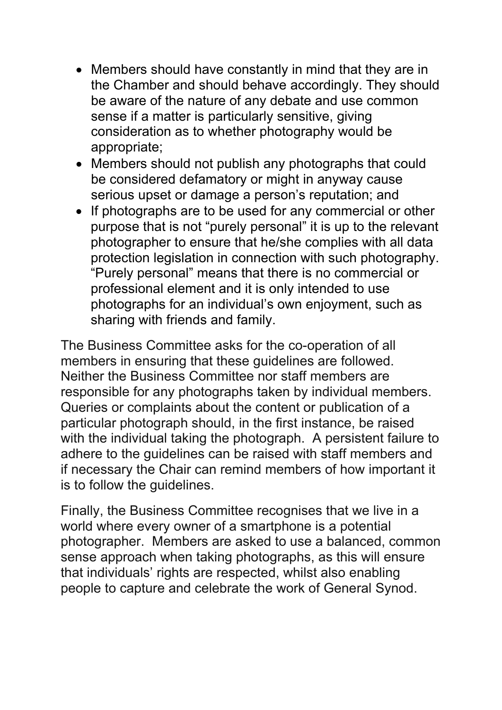- Members should have constantly in mind that they are in the Chamber and should behave accordingly. They should be aware of the nature of any debate and use common sense if a matter is particularly sensitive, giving consideration as to whether photography would be appropriate;
- Members should not publish any photographs that could be considered defamatory or might in anyway cause serious upset or damage a person's reputation; and
- If photographs are to be used for any commercial or other purpose that is not "purely personal" it is up to the relevant photographer to ensure that he/she complies with all data protection legislation in connection with such photography. "Purely personal" means that there is no commercial or professional element and it is only intended to use photographs for an individual's own enjoyment, such as sharing with friends and family.

The Business Committee asks for the co-operation of all members in ensuring that these guidelines are followed. Neither the Business Committee nor staff members are responsible for any photographs taken by individual members. Queries or complaints about the content or publication of a particular photograph should, in the first instance, be raised with the individual taking the photograph. A persistent failure to adhere to the guidelines can be raised with staff members and if necessary the Chair can remind members of how important it is to follow the guidelines.

Finally, the Business Committee recognises that we live in a world where every owner of a smartphone is a potential photographer. Members are asked to use a balanced, common sense approach when taking photographs, as this will ensure that individuals' rights are respected, whilst also enabling people to capture and celebrate the work of General Synod.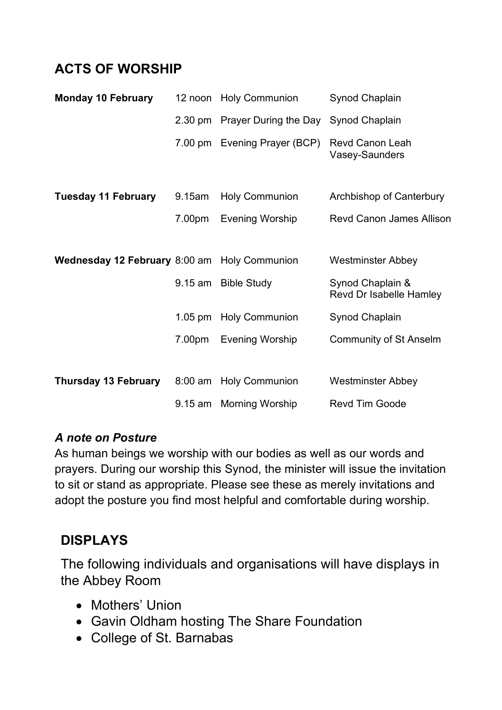### **ACTS OF WORSHIP**

| <b>Monday 10 February</b>                           |        | 12 noon Holy Communion        | Synod Chaplain                              |
|-----------------------------------------------------|--------|-------------------------------|---------------------------------------------|
|                                                     |        | 2.30 pm Prayer During the Day | Synod Chaplain                              |
|                                                     |        | 7.00 pm Evening Prayer (BCP)  | <b>Revd Canon Leah</b><br>Vasey-Saunders    |
| <b>Tuesday 11 February</b>                          | 9.15am | <b>Holy Communion</b>         | Archbishop of Canterbury                    |
|                                                     | 7.00pm | <b>Evening Worship</b>        | <b>Revd Canon James Allison</b>             |
|                                                     |        |                               |                                             |
| <b>Wednesday 12 February 8:00 am Holy Communion</b> |        |                               | <b>Westminster Abbey</b>                    |
|                                                     |        | 9.15 am Bible Study           | Synod Chaplain &<br>Revd Dr Isabelle Hamley |
|                                                     |        | 1.05 pm Holy Communion        | Synod Chaplain                              |
|                                                     | 7.00pm | <b>Evening Worship</b>        | <b>Community of St Anselm</b>               |
|                                                     |        |                               |                                             |
| <b>Thursday 13 February</b>                         |        | 8:00 am Holy Communion        | <b>Westminster Abbey</b>                    |
|                                                     |        | 9.15 am Morning Worship       | <b>Revd Tim Goode</b>                       |

#### *A note on Posture*

As human beings we worship with our bodies as well as our words and prayers. During our worship this Synod, the minister will issue the invitation to sit or stand as appropriate. Please see these as merely invitations and adopt the posture you find most helpful and comfortable during worship.

### **DISPLAYS**

The following individuals and organisations will have displays in the Abbey Room

- Mothers' Union
- Gavin Oldham hosting The Share Foundation
- College of St. Barnabas